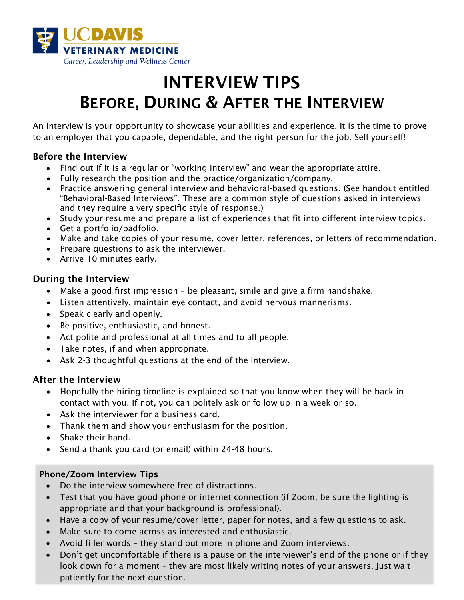

## INTERVIEW TIPS BEFORE, DURING & AFTER THE INTERVIEW

An interview is your opportunity to showcase your abilities and experience. It is the time to prove to an employer that you capable, dependable, and the right person for the job. Sell yourself!

#### Before the Interview

- Find out if it is a regular or "working interview" and wear the appropriate attire.
- Fully research the position and the practice/organization/company.
- Practice answering general interview and behavioral-based questions. (See handout entitled "Behavioral-Based Interviews". These are a common style of questions asked in interviews and they require a very specific style of response.)
- Study your resume and prepare a list of experiences that fit into different interview topics.
- Get a portfolio/padfolio.
- Make and take copies of your resume, cover letter, references, or letters of recommendation.
- Prepare questions to ask the interviewer.
- Arrive 10 minutes early.

#### During the Interview

- Make a good first impression be pleasant, smile and give a firm handshake.
- Listen attentively, maintain eye contact, and avoid nervous mannerisms.
- Speak clearly and openly.
- Be positive, enthusiastic, and honest.
- Act polite and professional at all times and to all people.
- Take notes, if and when appropriate.
- Ask 2-3 thoughtful questions at the end of the interview.

#### After the Interview

- Hopefully the hiring timeline is explained so that you know when they will be back in contact with you. If not, you can politely ask or follow up in a week or so.
- Ask the interviewer for a business card.
- Thank them and show your enthusiasm for the position.
- Shake their hand.
- Send a thank you card (or email) within 24-48 hours.

#### Phone/Zoom Interview Tips

- Do the interview somewhere free of distractions.
- Test that you have good phone or internet connection (if Zoom, be sure the lighting is appropriate and that your background is professional).
- Have a copy of your resume/cover letter, paper for notes, and a few questions to ask.
- Make sure to come across as interested and enthusiastic.
- Avoid filler words they stand out more in phone and Zoom interviews.
- Don't get uncomfortable if there is a pause on the interviewer's end of the phone or if they look down for a moment – they are most likely writing notes of your answers. Just wait patiently for the next question.